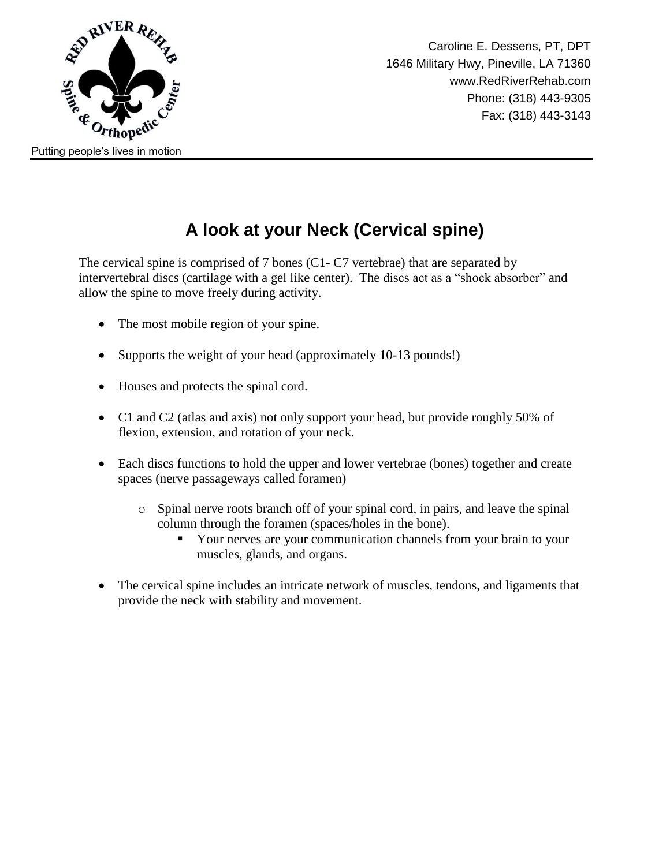

#### **A look at your Neck (Cervical spine)**

The cervical spine is comprised of 7 bones (C1- C7 vertebrae) that are separated by intervertebral discs (cartilage with a gel like center). The discs act as a "shock absorber" and allow the spine to move freely during activity.

- The most mobile region of your spine.
- Supports the weight of your head (approximately 10-13 pounds!)
- Houses and protects the spinal cord.
- C1 and C2 (atlas and axis) not only support your head, but provide roughly 50% of flexion, extension, and rotation of your neck.
- Each discs functions to hold the upper and lower vertebrae (bones) together and create spaces (nerve passageways called foramen)
	- o Spinal nerve roots branch off of your spinal cord, in pairs, and leave the spinal column through the foramen (spaces/holes in the bone).
		- Your nerves are your communication channels from your brain to your muscles, glands, and organs.
- The cervical spine includes an intricate network of muscles, tendons, and ligaments that provide the neck with stability and movement.